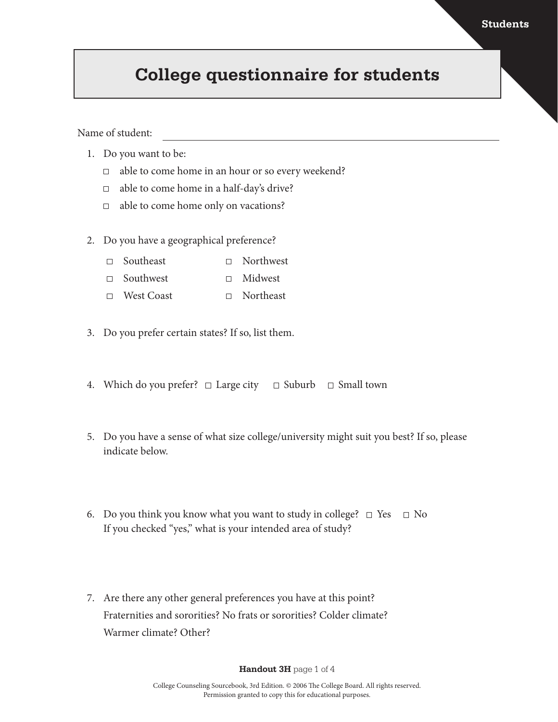## **College questionnaire for students**

Name of student:

- 1. Do you want to be:
	- $\Box$  able to come home in an hour or so every weekend?
	- $\Box$ able to come home in a half-day's drive?
	- $\Box$  able to come home only on vacations?
- 2. Do you have a geographical preference?
	- Southeast Northwest
	- □ Southwest Midwest
	- West Coast Northeast
- 3. Do you prefer certain states? If so, list them.
- 4. Which do you prefer?  $\Box$  Large city  $\Box$  Suburb  $\Box$  Small town
- 5. Do you have a sense of what size college/university might suit you best? If so, please indicate below.
- 6. Do you think you know what you want to study in college?  $\Box$  Yes  $\Box$  No If you checked "yes," what is your intended area of study?
- 7. Are there any other general preferences you have at this point? Fraternities and sororities? No frats or sororities? Colder climate? Warmer climate? Other?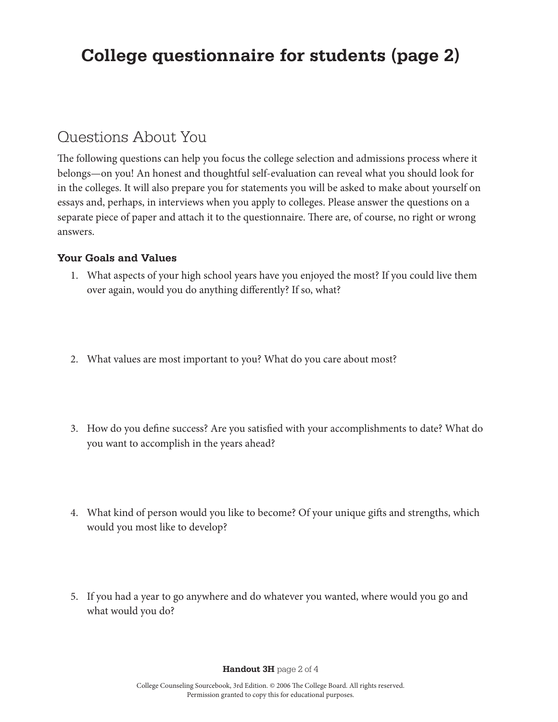# **College questionnaire for students (page 2)**

### Questions About You

The following questions can help you focus the college selection and admissions process where it belongs—on you! An honest and thoughtful self-evaluation can reveal what you should look for in the colleges. It will also prepare you for statements you will be asked to make about yourself on essays and, perhaps, in interviews when you apply to colleges. Please answer the questions on a separate piece of paper and attach it to the questionnaire. There are, of course, no right or wrong answers.

### **Your Goals and Values**

- 1. What aspects of your high school years have you enjoyed the most? If you could live them over again, would you do anything differently? If so, what?
- 2. What values are most important to you? What do you care about most?
- 3. How do you define success? Are you satisfied with your accomplishments to date? What do you want to accomplish in the years ahead?
- 4. What kind of person would you like to become? Of your unique gifts and strengths, which would you most like to develop?
- 5. If you had a year to go anywhere and do whatever you wanted, where would you go and what would you do?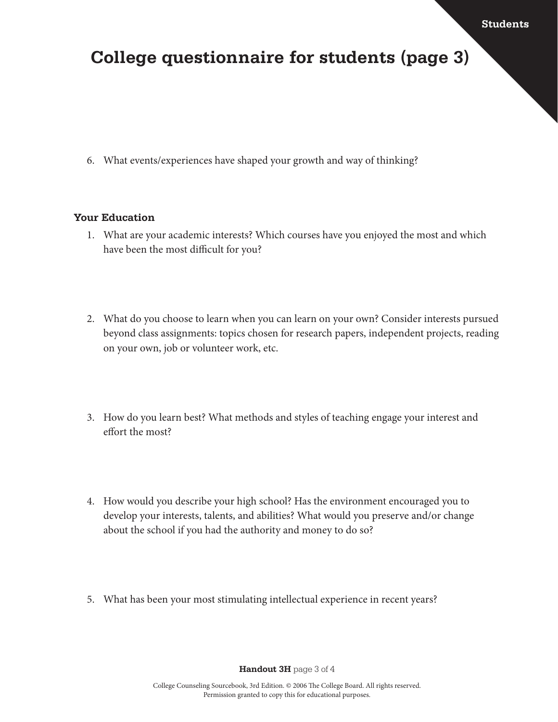### **College questionnaire for students (page 3)**

6. What events/experiences have shaped your growth and way of thinking?

#### **Your Education**

- 1. What are your academic interests? Which courses have you enjoyed the most and which have been the most difficult for you?
- 2. What do you choose to learn when you can learn on your own? Consider interests pursued beyond class assignments: topics chosen for research papers, independent projects, reading on your own, job or volunteer work, etc.
- 3. How do you learn best? What methods and styles of teaching engage your interest and effort the most?
- 4. How would you describe your high school? Has the environment encouraged you to develop your interests, talents, and abilities? What would you preserve and/or change about the school if you had the authority and money to do so?
- 5. What has been your most stimulating intellectual experience in recent years?

**Handout 3H** page 3 of 4